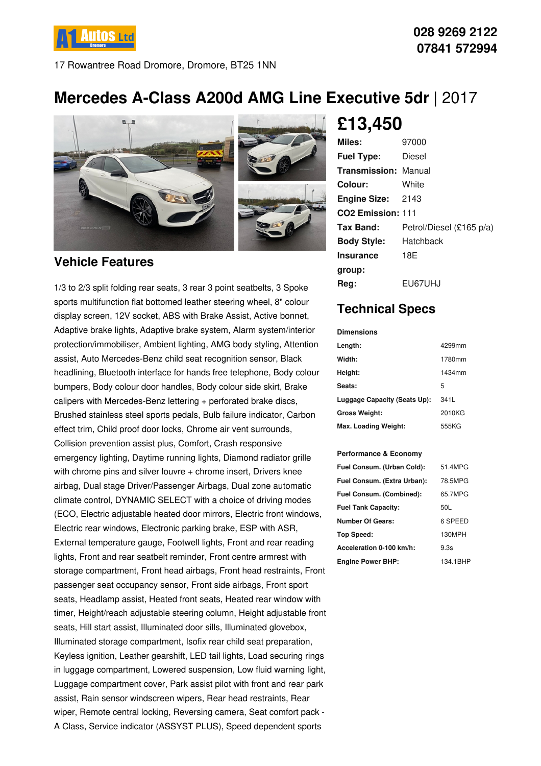

17 Rowantree Road Dromore, Dromore, BT25 1NN

# **Mercedes A-Class A200d AMG Line Executive 5dr** | 2017



#### **Vehicle Features**

1/3 to 2/3 split folding rear seats, 3 rear 3 point seatbelts, 3 Spoke sports multifunction flat bottomed leather steering wheel, 8" colour display screen, 12V socket, ABS with Brake Assist, Active bonnet, Adaptive brake lights, Adaptive brake system, Alarm system/interior protection/immobiliser, Ambient lighting, AMG body styling, Attention assist, Auto Mercedes-Benz child seat recognition sensor, Black headlining, Bluetooth interface for hands free telephone, Body colour bumpers, Body colour door handles, Body colour side skirt, Brake calipers with Mercedes-Benz lettering + perforated brake discs, Brushed stainless steel sports pedals, Bulb failure indicator, Carbon effect trim, Child proof door locks, Chrome air vent surrounds, Collision prevention assist plus, Comfort, Crash responsive emergency lighting, Daytime running lights, Diamond radiator grille with chrome pins and silver louvre + chrome insert, Drivers knee airbag, Dual stage Driver/Passenger Airbags, Dual zone automatic climate control, DYNAMIC SELECT with a choice of driving modes (ECO, Electric adjustable heated door mirrors, Electric front windows, Electric rear windows, Electronic parking brake, ESP with ASR, External temperature gauge, Footwell lights, Front and rear reading lights, Front and rear seatbelt reminder, Front centre armrest with storage compartment, Front head airbags, Front head restraints, Front passenger seat occupancy sensor, Front side airbags, Front sport seats, Headlamp assist, Heated front seats, Heated rear window with timer, Height/reach adjustable steering column, Height adjustable front seats, Hill start assist, Illuminated door sills, Illuminated glovebox, Illuminated storage compartment, Isofix rear child seat preparation, Keyless ignition, Leather gearshift, LED tail lights, Load securing rings in luggage compartment, Lowered suspension, Low fluid warning light, Luggage compartment cover, Park assist pilot with front and rear park assist, Rain sensor windscreen wipers, Rear head restraints, Rear wiper, Remote central locking, Reversing camera, Seat comfort pack - A Class, Service indicator (ASSYST PLUS), Speed dependent sports

## **£13,450**

| Miles:                        | 97000                    |
|-------------------------------|--------------------------|
| <b>Fuel Type:</b>             | Diesel                   |
| <b>Transmission: Manual</b>   |                          |
| Colour:                       | White                    |
| <b>Engine Size: 2143</b>      |                          |
| CO <sub>2</sub> Emission: 111 |                          |
| Tax Band:                     | Petrol/Diesel (£165 p/a) |
| <b>Body Style:</b>            | Hatchback                |
| <b>Insurance</b>              | 18E                      |
| group:                        |                          |
| Reg:                          | EU67UHJ                  |

## **Technical Specs**

**Dimensions**

| <b>DIIIEISIUIS</b>           |        |
|------------------------------|--------|
| Length:                      | 4299mm |
| Width:                       | 1780mm |
| Height:                      | 1434mm |
| Seats:                       | 5      |
| Luggage Capacity (Seats Up): | 341L   |
| <b>Gross Weight:</b>         | 2010KG |
| Max. Loading Weight:         | 555KG  |

#### **Performance & Economy**

| Fuel Consum. (Urban Cold):  | 51.4MPG  |
|-----------------------------|----------|
| Fuel Consum. (Extra Urban): | 78.5MPG  |
| Fuel Consum. (Combined):    | 65.7MPG  |
| <b>Fuel Tank Capacity:</b>  | 50L      |
| <b>Number Of Gears:</b>     | 6 SPEED  |
| Top Speed:                  | 130MPH   |
| Acceleration 0-100 km/h:    | 9.3s     |
| <b>Engine Power BHP:</b>    | 134.1BHP |